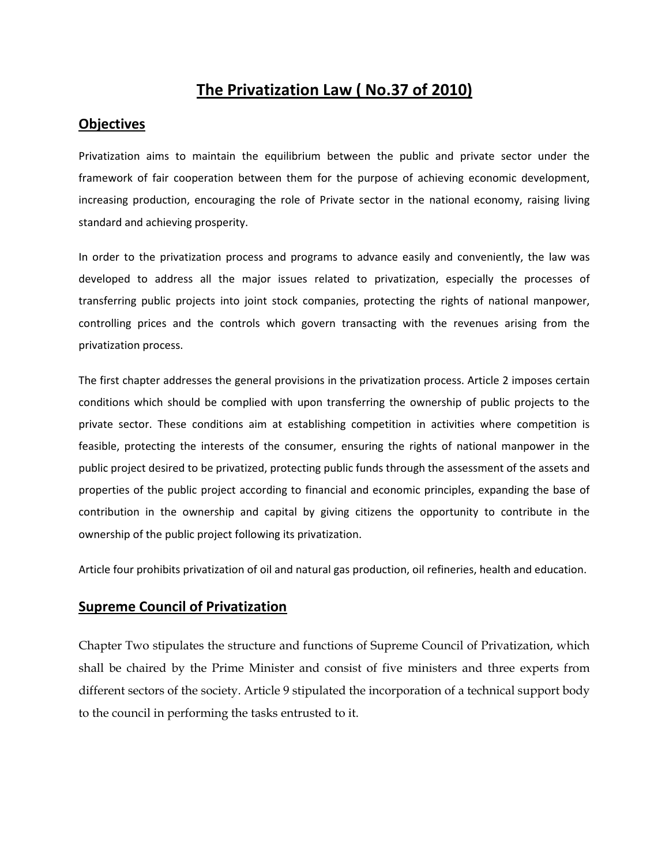# The Privatization Law ( No.37 of 2010)

#### **Objectives**

Privatization aims to maintain the equilibrium between the public and private sector under the framework of fair cooperation between them for the purpose of achieving economic development, increasing production, encouraging the role of Private sector in the national economy, raising living standard and achieving prosperity.

In order to the privatization process and programs to advance easily and conveniently, the law was developed to address all the major issues related to privatization, especially the processes of transferring public projects into joint stock companies, protecting the rights of national manpower, controlling prices and the controls which govern transacting with the revenues arising from the privatization process.

The first chapter addresses the general provisions in the privatization process. Article 2 imposes certain conditions which should be complied with upon transferring the ownership of public projects to the private sector. These conditions aim at establishing competition in activities where competition is feasible, protecting the interests of the consumer, ensuring the rights of national manpower in the public project desired to be privatized, protecting public funds through the assessment of the assets and properties of the public project according to financial and economic principles, expanding the base of contribution in the ownership and capital by giving citizens the opportunity to contribute in the ownership of the public project following its privatization.

Article four prohibits privatization of oil and natural gas production, oil refineries, health and education.

## Supreme Council of Privatization

Chapter Two stipulates the structure and functions of Supreme Council of Privatization, which shall be chaired by the Prime Minister and consist of five ministers and three experts from different sectors of the society. Article 9 stipulated the incorporation of a technical support body to the council in performing the tasks entrusted to it.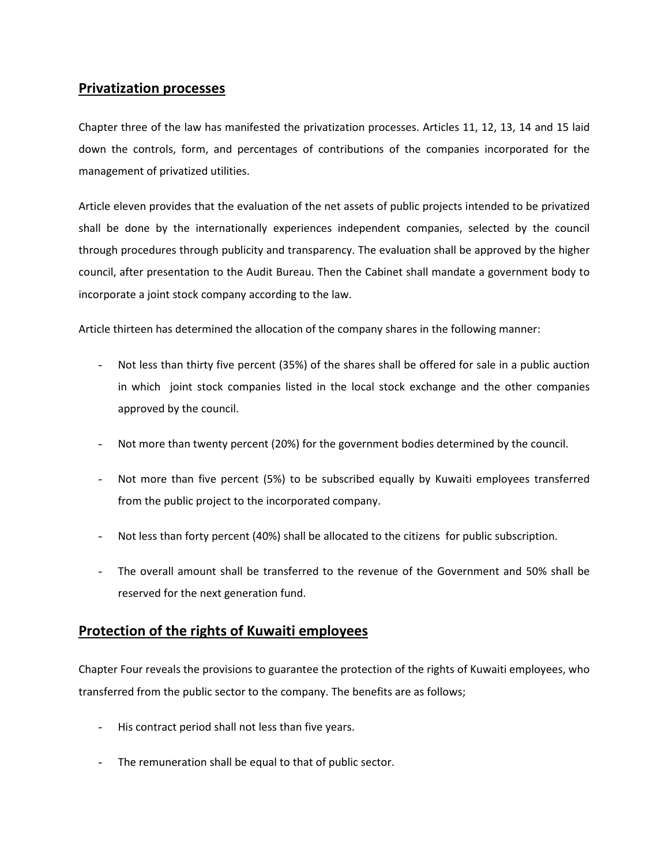## Privatization processes

Chapter three of the law has manifested the privatization processes. Articles 11, 12, 13, 14 and 15 laid down the controls, form, and percentages of contributions of the companies incorporated for the management of privatized utilities.

Article eleven provides that the evaluation of the net assets of public projects intended to be privatized shall be done by the internationally experiences independent companies, selected by the council through procedures through publicity and transparency. The evaluation shall be approved by the higher council, after presentation to the Audit Bureau. Then the Cabinet shall mandate a government body to incorporate a joint stock company according to the law.

Article thirteen has determined the allocation of the company shares in the following manner:

- Not less than thirty five percent (35%) of the shares shall be offered for sale in a public auction in which joint stock companies listed in the local stock exchange and the other companies approved by the council.
- Not more than twenty percent (20%) for the government bodies determined by the council.
- Not more than five percent (5%) to be subscribed equally by Kuwaiti employees transferred from the public project to the incorporated company.
- Not less than forty percent (40%) shall be allocated to the citizens for public subscription.
- The overall amount shall be transferred to the revenue of the Government and 50% shall be reserved for the next generation fund.

## Protection of the rights of Kuwaiti employees

Chapter Four reveals the provisions to guarantee the protection of the rights of Kuwaiti employees, who transferred from the public sector to the company. The benefits are as follows;

- His contract period shall not less than five years.
- The remuneration shall be equal to that of public sector.